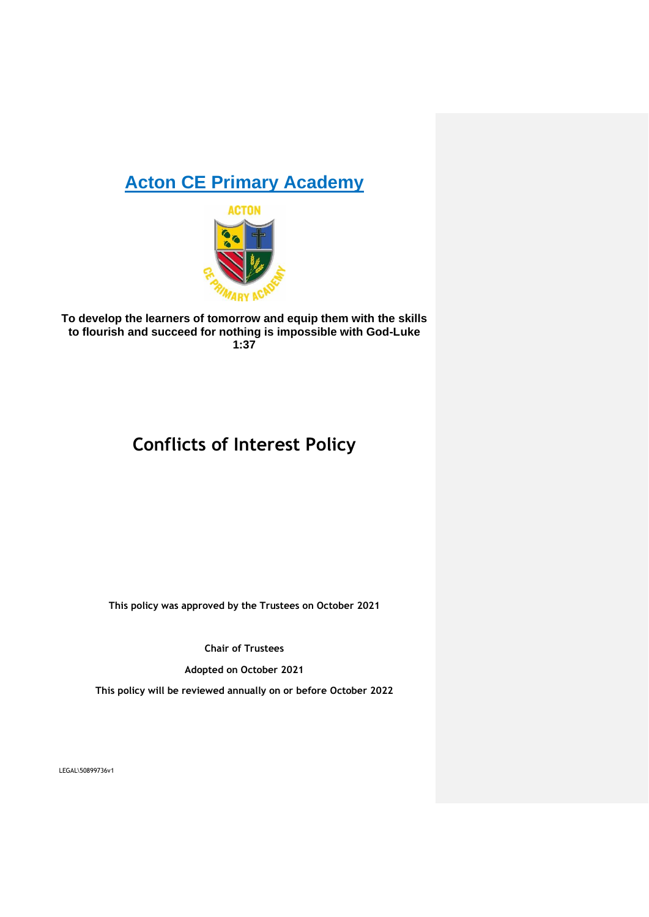# **Acton CE Primary Academy**



**To develop the learners of tomorrow and equip them with the skills to flourish and succeed for nothing is impossible with God-Luke 1:37**

# **Conflicts of Interest Policy**

**This policy was approved by the Trustees on October 2021**

**Chair of Trustees**

**Adopted on October 2021**

**This policy will be reviewed annually on or before October 2022**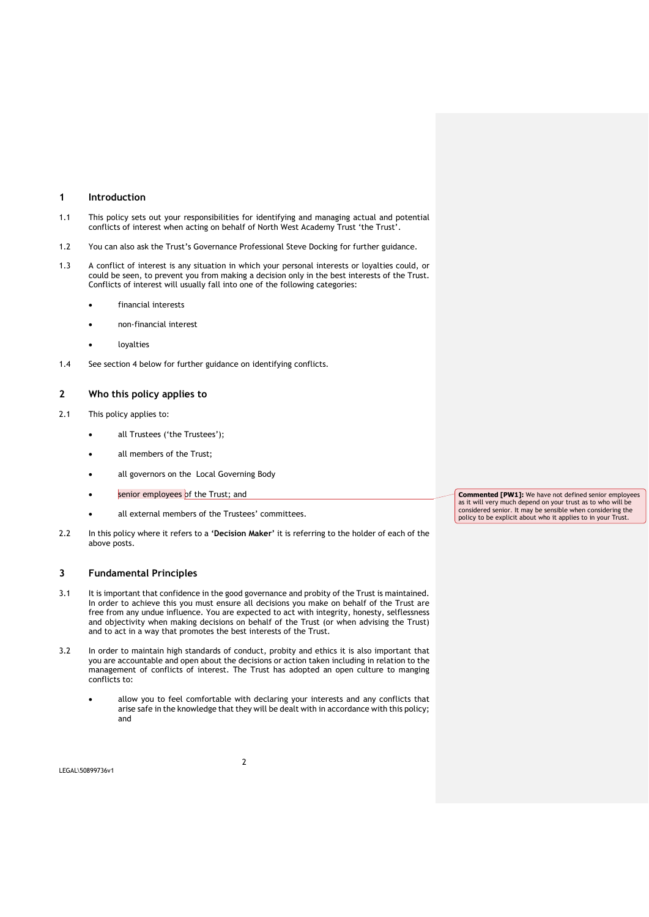# **1 Introduction**

- 1.1 This policy sets out your responsibilities for identifying and managing actual and potential conflicts of interest when acting on behalf of North West Academy Trust 'the Trust'.
- 1.2 You can also ask the Trust's Governance Professional Steve Docking for further guidance.
- 1.3 A conflict of interest is any situation in which your personal interests or loyalties could, or could be seen, to prevent you from making a decision only in the best interests of the Trust. Conflicts of interest will usually fall into one of the following categories:
	- financial interests
	- non-financial interest
	- **loyalties**
- 1.4 See section 4 below for further guidance on identifying conflicts.

#### **2 Who this policy applies to**

- 2.1 This policy applies to:
	- all Trustees ('the Trustees');
	- all members of the Trust;
	- all governors on the Local Governing Body
	- senior employees of the Trust; and
	- all external members of the Trustees' committees.
- 2.2 In this policy where it refers to a **'Decision Maker'** it is referring to the holder of each of the above posts.

# **3 Fundamental Principles**

- 3.1 It is important that confidence in the good governance and probity of the Trust is maintained. In order to achieve this you must ensure all decisions you make on behalf of the Trust are free from any undue influence. You are expected to act with integrity, honesty, selflessness and objectivity when making decisions on behalf of the Trust (or when advising the Trust) and to act in a way that promotes the best interests of the Trust.
- 3.2 In order to maintain high standards of conduct, probity and ethics it is also important that you are accountable and open about the decisions or action taken including in relation to the management of conflicts of interest. The Trust has adopted an open culture to manging conflicts to:
	- allow you to feel comfortable with declaring your interests and any conflicts that arise safe in the knowledge that they will be dealt with in accordance with this policy; and

**Commented [PW1]:** We have not defined senior employees as it will very much depend on your trust as to who will be considered senior. It may be sensible when considering the policy to be explicit about who it applies to in your Trust.

LEGAL\50899736v1

2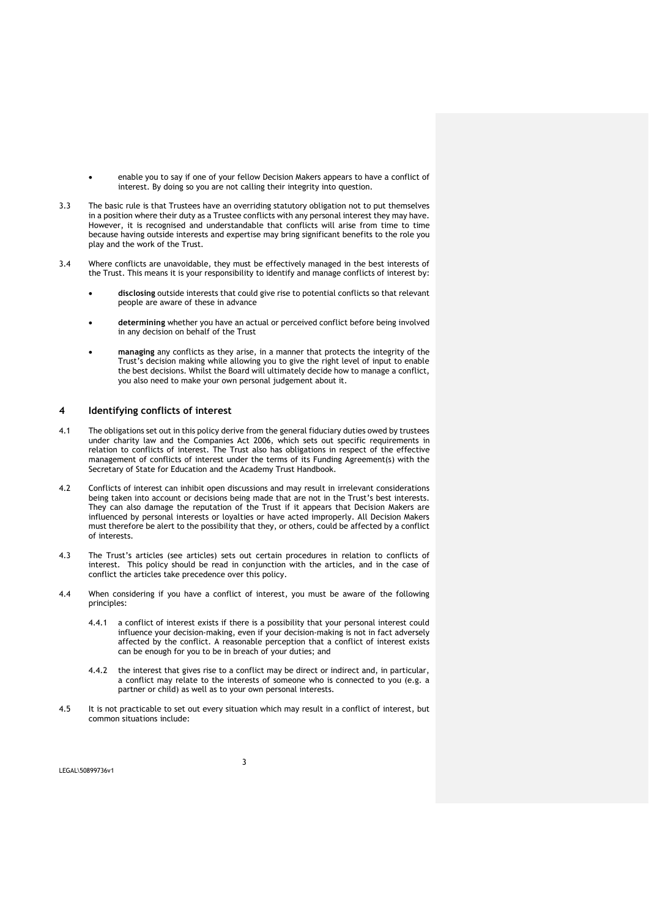- enable you to say if one of your fellow Decision Makers appears to have a conflict of interest. By doing so you are not calling their integrity into question.
- 3.3 The basic rule is that Trustees have an overriding statutory obligation not to put themselves in a position where their duty as a Trustee conflicts with any personal interest they may have. However, it is recognised and understandable that conflicts will arise from time to time because having outside interests and expertise may bring significant benefits to the role you play and the work of the Trust.
- 3.4 Where conflicts are unavoidable, they must be effectively managed in the best interests of the Trust. This means it is your responsibility to identify and manage conflicts of interest by:
	- **disclosing** outside interests that could give rise to potential conflicts so that relevant people are aware of these in advance
	- **determining** whether you have an actual or perceived conflict before being involved in any decision on behalf of the Trust
	- **managing** any conflicts as they arise, in a manner that protects the integrity of the Trust's decision making while allowing you to give the right level of input to enable the best decisions. Whilst the Board will ultimately decide how to manage a conflict, you also need to make your own personal judgement about it.

# **4 Identifying conflicts of interest**

- 4.1 The obligations set out in this policy derive from the general fiduciary duties owed by trustees under charity law and the Companies Act 2006, which sets out specific requirements in relation to conflicts of interest. The Trust also has obligations in respect of the effective management of conflicts of interest under the terms of its Funding Agreement(s) with the Secretary of State for Education and the Academy Trust Handbook.
- 4.2 Conflicts of interest can inhibit open discussions and may result in irrelevant considerations being taken into account or decisions being made that are not in the Trust's best interests. They can also damage the reputation of the Trust if it appears that Decision Makers are influenced by personal interests or loyalties or have acted improperly. All Decision Makers must therefore be alert to the possibility that they, or others, could be affected by a conflict of interests.
- 4.3 The Trust's articles (see articles) sets out certain procedures in relation to conflicts of interest. This policy should be read in conjunction with the articles, and in the case of conflict the articles take precedence over this policy.
- 4.4 When considering if you have a conflict of interest, you must be aware of the following principles:
	- 4.4.1 a conflict of interest exists if there is a possibility that your personal interest could influence your decision-making, even if your decision-making is not in fact adversely affected by the conflict. A reasonable perception that a conflict of interest exists can be enough for you to be in breach of your duties; and
	- 4.4.2 the interest that gives rise to a conflict may be direct or indirect and, in particular, a conflict may relate to the interests of someone who is connected to you (e.g. a partner or child) as well as to your own personal interests.
- 4.5 It is not practicable to set out every situation which may result in a conflict of interest, but common situations include: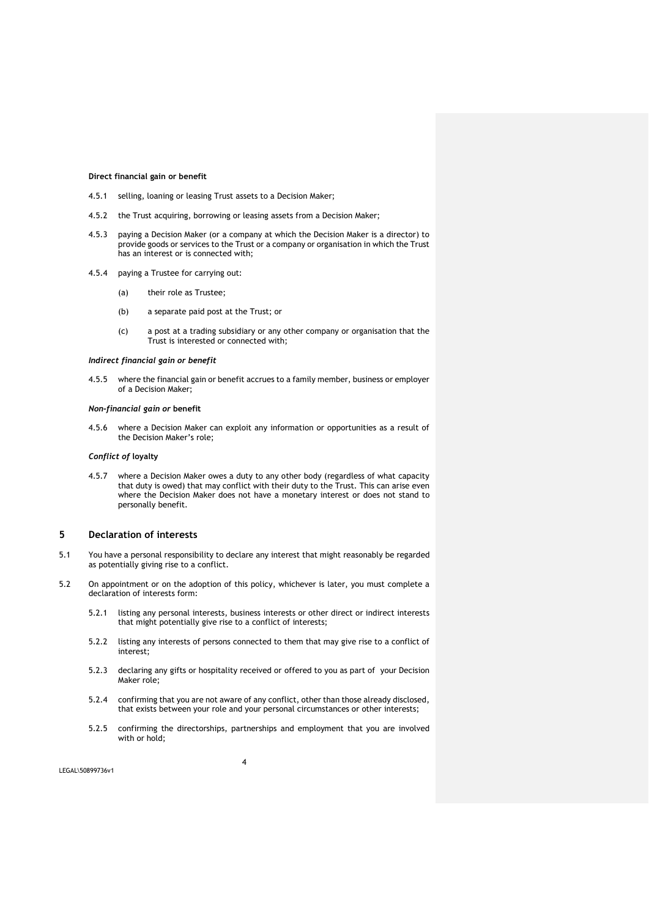#### **Direct financial gain or benefit**

- 4.5.1 selling, loaning or leasing Trust assets to a Decision Maker;
- 4.5.2 the Trust acquiring, borrowing or leasing assets from a Decision Maker;
- 4.5.3 paying a Decision Maker (or a company at which the Decision Maker is a director) to provide goods or services to the Trust or a company or organisation in which the Trust has an interest or is connected with;
- 4.5.4 paying a Trustee for carrying out:
	- (a) their role as Trustee;
	- (b) a separate paid post at the Trust; or
	- (c) a post at a trading subsidiary or any other company or organisation that the Trust is interested or connected with;

#### *Indirect financial gain or benefit*

4.5.5 where the financial gain or benefit accrues to a family member, business or employer of a Decision Maker;

#### *Non-financial gain or* **benefit**

4.5.6 where a Decision Maker can exploit any information or opportunities as a result of the Decision Maker's role;

#### *Conflict of* **loyalty**

4.5.7 where a Decision Maker owes a duty to any other body (regardless of what capacity that duty is owed) that may conflict with their duty to the Trust. This can arise even where the Decision Maker does not have a monetary interest or does not stand to personally benefit.

#### **5 Declaration of interests**

- 5.1 You have a personal responsibility to declare any interest that might reasonably be regarded as potentially giving rise to a conflict.
- 5.2 On appointment or on the adoption of this policy, whichever is later, you must complete a declaration of interests form:
	- 5.2.1 listing any personal interests, business interests or other direct or indirect interests that might potentially give rise to a conflict of interests;
	- 5.2.2 listing any interests of persons connected to them that may give rise to a conflict of interest;
	- 5.2.3 declaring any gifts or hospitality received or offered to you as part of your Decision Maker role;
	- 5.2.4 confirming that you are not aware of any conflict, other than those already disclosed, that exists between your role and your personal circumstances or other interests;
	- 5.2.5 confirming the directorships, partnerships and employment that you are involved with or hold;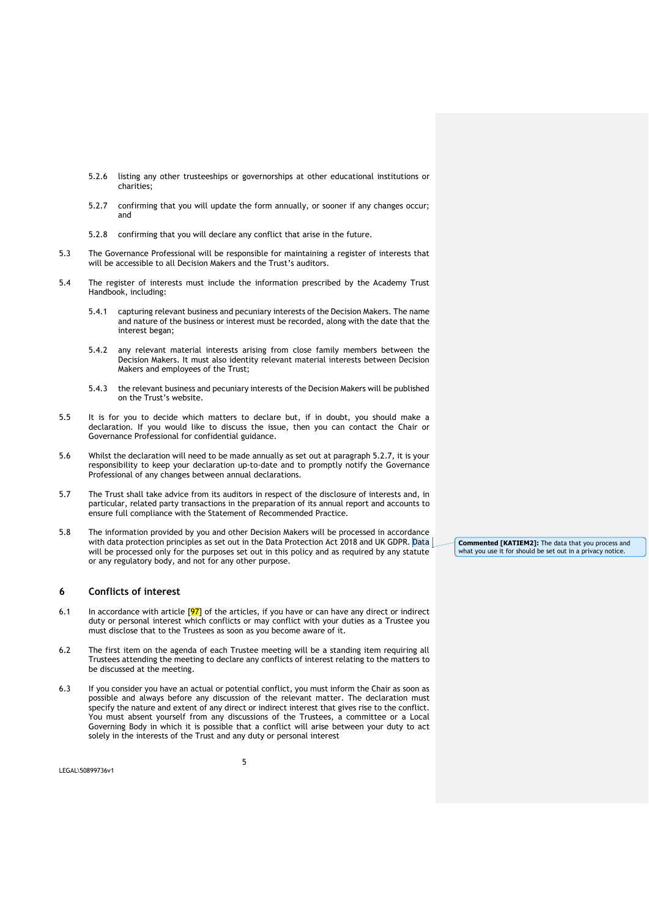- 5.2.6 listing any other trusteeships or governorships at other educational institutions or charities;
- 5.2.7 confirming that you will update the form annually, or sooner if any changes occur; and
- 5.2.8 confirming that you will declare any conflict that arise in the future.
- 5.3 The Governance Professional will be responsible for maintaining a register of interests that will be accessible to all Decision Makers and the Trust's auditors.
- 5.4 The register of interests must include the information prescribed by the Academy Trust Handbook, including:
	- 5.4.1 capturing relevant business and pecuniary interests of the Decision Makers. The name and nature of the business or interest must be recorded, along with the date that the interest began;
	- 5.4.2 any relevant material interests arising from close family members between the Decision Makers. It must also identity relevant material interests between Decision Makers and employees of the Trust;
	- 5.4.3 the relevant business and pecuniary interests of the Decision Makers will be published on the Trust's website.
- 5.5 It is for you to decide which matters to declare but, if in doubt, you should make a declaration. If you would like to discuss the issue, then you can contact the Chair or Governance Professional for confidential guidance.
- 5.6 Whilst the declaration will need to be made annually as set out at paragraph 5.2.7, it is your responsibility to keep your declaration up-to-date and to promptly notify the Governance Professional of any changes between annual declarations.
- 5.7 The Trust shall take advice from its auditors in respect of the disclosure of interests and, in particular, related party transactions in the preparation of its annual report and accounts to ensure full compliance with the Statement of Recommended Practice.
- 5.8 The information provided by you and other Decision Makers will be processed in accordance with data protection principles as set out in the Data Protection Act 2018 and UK GDPR. Data will be processed only for the purposes set out in this policy and as required by any statute or any regulatory body, and not for any other purpose.

#### **6 Conflicts of interest**

- 6.1 In accordance with article  $[97]$  of the articles, if you have or can have any direct or indirect duty or personal interest which conflicts or may conflict with your duties as a Trustee you must disclose that to the Trustees as soon as you become aware of it.
- 6.2 The first item on the agenda of each Trustee meeting will be a standing item requiring all Trustees attending the meeting to declare any conflicts of interest relating to the matters to be discussed at the meeting.
- 6.3 If you consider you have an actual or potential conflict, you must inform the Chair as soon as possible and always before any discussion of the relevant matter. The declaration must specify the nature and extent of any direct or indirect interest that gives rise to the conflict. You must absent yourself from any discussions of the Trustees, a committee or a Local Governing Body in which it is possible that a conflict will arise between your duty to act solely in the interests of the Trust and any duty or personal interest

**Commented [KATIEM2]:** The data that you process and what you use it for should be set out in a privacy notice.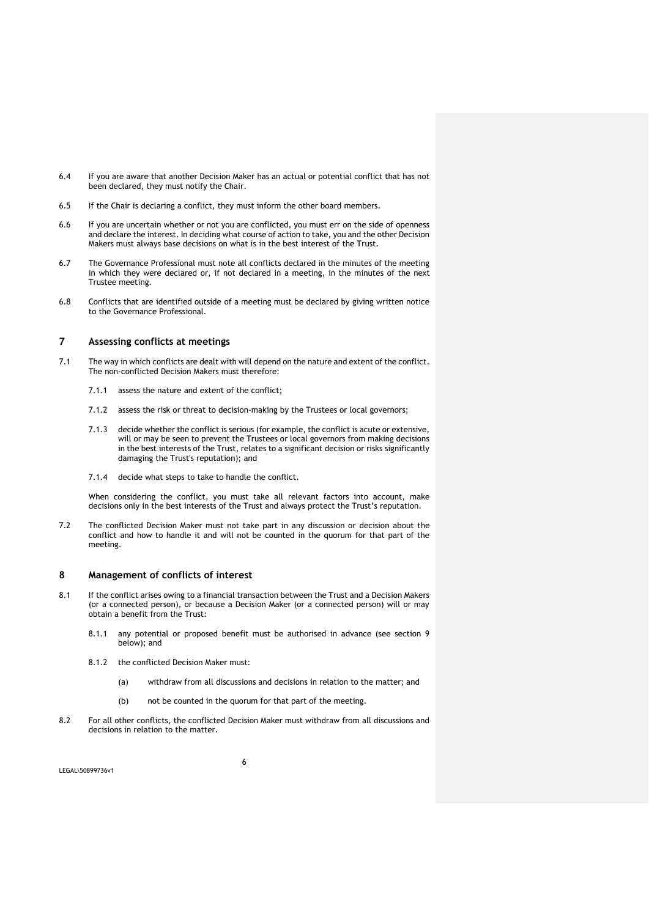- 6.4 If you are aware that another Decision Maker has an actual or potential conflict that has not been declared, they must notify the Chair.
- 6.5 If the Chair is declaring a conflict, they must inform the other board members.
- 6.6 If you are uncertain whether or not you are conflicted, you must err on the side of openness and declare the interest. In deciding what course of action to take, you and the other Decision Makers must always base decisions on what is in the best interest of the Trust.
- 6.7 The Governance Professional must note all conflicts declared in the minutes of the meeting in which they were declared or, if not declared in a meeting, in the minutes of the next Trustee meeting.
- 6.8 Conflicts that are identified outside of a meeting must be declared by giving written notice to the Governance Professional.

# **7 Assessing conflicts at meetings**

- 7.1 The way in which conflicts are dealt with will depend on the nature and extent of the conflict. The non-conflicted Decision Makers must therefore:
	- 7.1.1 assess the nature and extent of the conflict;
	- 7.1.2 assess the risk or threat to decision-making by the Trustees or local governors;
	- 7.1.3 decide whether the conflict is serious (for example, the conflict is acute or extensive, will or may be seen to prevent the Trustees or local governors from making decisions in the best interests of the Trust, relates to a significant decision or risks significantly damaging the Trust's reputation); and
	- 7.1.4 decide what steps to take to handle the conflict.

When considering the conflict, you must take all relevant factors into account, make decisions only in the best interests of the Trust and always protect the Trust's reputation.

7.2 The conflicted Decision Maker must not take part in any discussion or decision about the conflict and how to handle it and will not be counted in the quorum for that part of the meeting.

#### **8 Management of conflicts of interest**

- 8.1 If the conflict arises owing to a financial transaction between the Trust and a Decision Makers (or a connected person), or because a Decision Maker (or a connected person) will or may obtain a benefit from the Trust:
	- 8.1.1 any potential or proposed benefit must be authorised in advance (see section 9 below); and
	- 8.1.2 the conflicted Decision Maker must:
		- (a) withdraw from all discussions and decisions in relation to the matter; and
		- (b) not be counted in the quorum for that part of the meeting.
- 8.2 For all other conflicts, the conflicted Decision Maker must withdraw from all discussions and decisions in relation to the matter.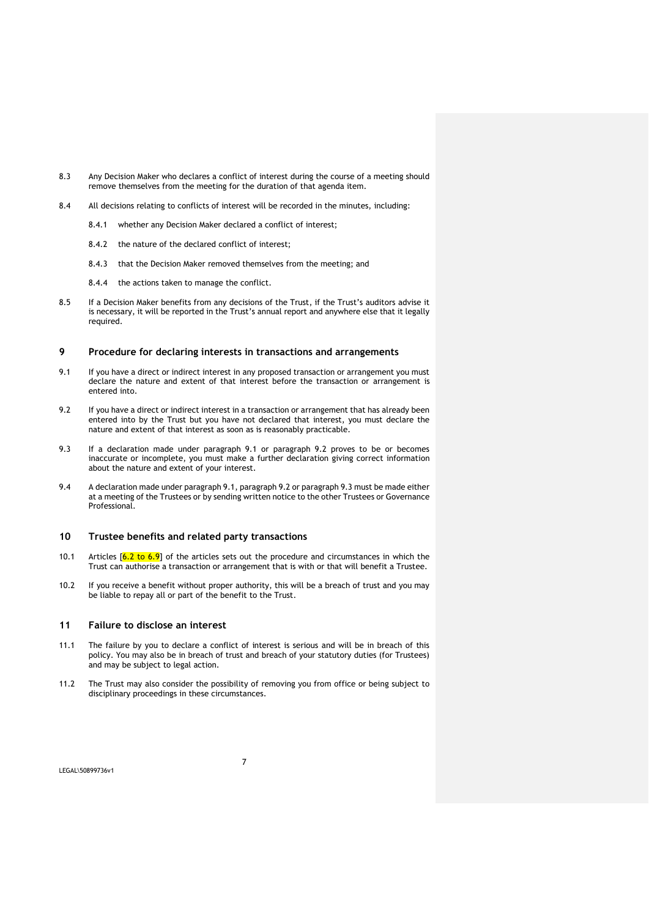- 8.3 Any Decision Maker who declares a conflict of interest during the course of a meeting should remove themselves from the meeting for the duration of that agenda item.
- 8.4 All decisions relating to conflicts of interest will be recorded in the minutes, including:
	- 8.4.1 whether any Decision Maker declared a conflict of interest;
	- 8.4.2 the nature of the declared conflict of interest;
	- 8.4.3 that the Decision Maker removed themselves from the meeting; and
	- 8.4.4 the actions taken to manage the conflict.
- 8.5 If a Decision Maker benefits from any decisions of the Trust, if the Trust's auditors advise it is necessary, it will be reported in the Trust's annual report and anywhere else that it legally required.

# **9 Procedure for declaring interests in transactions and arrangements**

- 9.1 If you have a direct or indirect interest in any proposed transaction or arrangement you must declare the nature and extent of that interest before the transaction or arrangement is entered into.
- 9.2 If you have a direct or indirect interest in a transaction or arrangement that has already been entered into by the Trust but you have not declared that interest, you must declare the nature and extent of that interest as soon as is reasonably practicable.
- 9.3 If a declaration made under paragraph 9.1 or paragraph 9.2 proves to be or becomes inaccurate or incomplete, you must make a further declaration giving correct information about the nature and extent of your interest.
- 9.4 A declaration made under paragraph 9.1, paragraph 9.2 or paragraph 9.3 must be made either at a meeting of the Trustees or by sending written notice to the other Trustees or Governance Professional.

#### **10 Trustee benefits and related party transactions**

- 10.1 Articles  $\begin{bmatrix} 6.2 & \text{to } 6.9 \end{bmatrix}$  of the articles sets out the procedure and circumstances in which the Trust can authorise a transaction or arrangement that is with or that will benefit a Trustee.
- 10.2 If you receive a benefit without proper authority, this will be a breach of trust and you may be liable to repay all or part of the benefit to the Trust.

# **11 Failure to disclose an interest**

- 11.1 The failure by you to declare a conflict of interest is serious and will be in breach of this policy. You may also be in breach of trust and breach of your statutory duties (for Trustees) and may be subject to legal action.
- 11.2 The Trust may also consider the possibility of removing you from office or being subject to disciplinary proceedings in these circumstances.